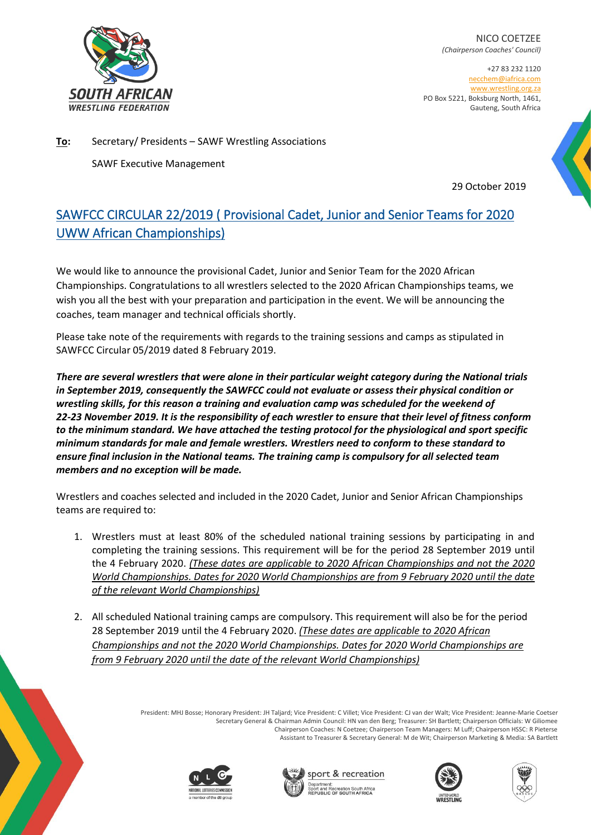

NICO COETZEE *(Chairperson Coaches' Council)*

+27 83 232 1120 necchem@iafrica.com [www.wrestling.org.za](http://www.wrestling.org.za/) PO Box 5221, Boksburg North, 1461, Gauteng, South Africa

**To:** Secretary/ Presidents – SAWF Wrestling Associations SAWF Executive Management

29 October 2019

# SAWFCC CIRCULAR 22/2019 ( Provisional Cadet, Junior and Senior Teams for 2020 UWW African Championships)

We would like to announce the provisional Cadet, Junior and Senior Team for the 2020 African Championships. Congratulations to all wrestlers selected to the 2020 African Championships teams, we wish you all the best with your preparation and participation in the event. We will be announcing the coaches, team manager and technical officials shortly.

Please take note of the requirements with regards to the training sessions and camps as stipulated in SAWFCC Circular 05/2019 dated 8 February 2019.

*There are several wrestlers that were alone in their particular weight category during the National trials in September 2019, consequently the SAWFCC could not evaluate or assess their physical condition or wrestling skills, for this reason a training and evaluation camp was scheduled for the weekend of 22-23 November 2019. It is the responsibility of each wrestler to ensure that their level of fitness conform to the minimum standard. We have attached the testing protocol for the physiological and sport specific minimum standards for male and female wrestlers. Wrestlers need to conform to these standard to ensure final inclusion in the National teams. The training camp is compulsory for all selected team members and no exception will be made.*

Wrestlers and coaches selected and included in the 2020 Cadet, Junior and Senior African Championships teams are required to:

- 1. Wrestlers must at least 80% of the scheduled national training sessions by participating in and completing the training sessions. This requirement will be for the period 28 September 2019 until the 4 February 2020. *(These dates are applicable to 2020 African Championships and not the 2020 World Championships. Dates for 2020 World Championships are from 9 February 2020 until the date of the relevant World Championships)*
- 2. All scheduled National training camps are compulsory. This requirement will also be for the period 28 September 2019 until the 4 February 2020. *(These dates are applicable to 2020 African Championships and not the 2020 World Championships. Dates for 2020 World Championships are from 9 February 2020 until the date of the relevant World Championships)*

President: MHJ Bosse; Honorary President: JH Taljard; Vice President: C Villet; Vice President: CJ van der Walt; Vice President: Jeanne-Marie Coetser Secretary General & Chairman Admin Council: HN van den Berg; Treasurer: SH Bartlett; Chairperson Officials: W Giliomee Chairperson Coaches: N Coetzee; Chairperson Team Managers: M Luff; Chairperson HSSC: R Pieterse Assistant to Treasurer & Secretary General: M de Wit; Chairperson Marketing & Media: SA Bartlett









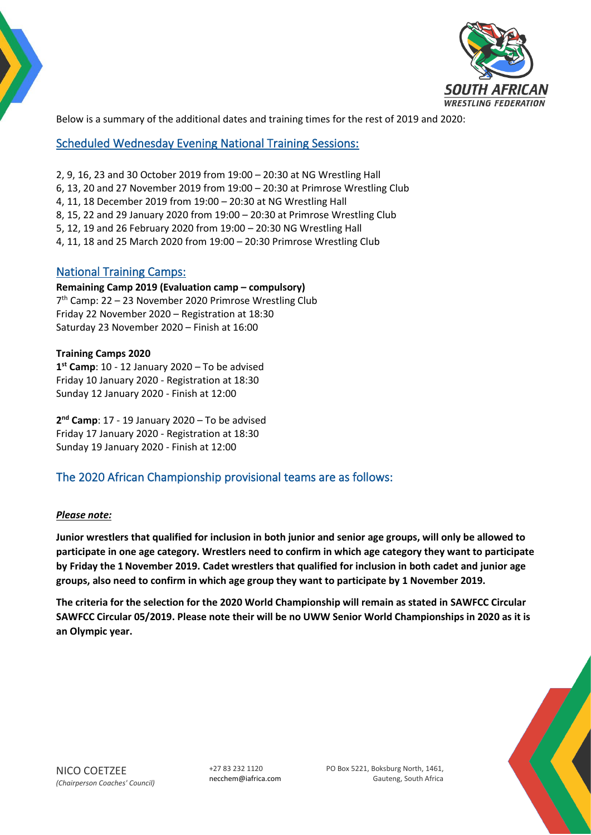

Below is a summary of the additional dates and training times for the rest of 2019 and 2020:

Scheduled Wednesday Evening National Training Sessions:

- 2, 9, 16, 23 and 30 October 2019 from 19:00 20:30 at NG Wrestling Hall
- 6, 13, 20 and 27 November 2019 from 19:00 20:30 at Primrose Wrestling Club
- 4, 11, 18 December 2019 from 19:00 20:30 at NG Wrestling Hall
- 8, 15, 22 and 29 January 2020 from 19:00 20:30 at Primrose Wrestling Club
- 5, 12, 19 and 26 February 2020 from 19:00 20:30 NG Wrestling Hall
- 4, 11, 18 and 25 March 2020 from 19:00 20:30 Primrose Wrestling Club

### National Training Camps:

#### **Remaining Camp 2019 (Evaluation camp – compulsory)**

7<sup>th</sup> Camp: 22 - 23 November 2020 Primrose Wrestling Club Friday 22 November 2020 – Registration at 18:30 Saturday 23 November 2020 – Finish at 16:00

#### **Training Camps 2020**

**1 st Camp**: 10 - 12 January 2020 – To be advised Friday 10 January 2020 - Registration at 18:30 Sunday 12 January 2020 - Finish at 12:00

**2 nd Camp**: 17 - 19 January 2020 – To be advised Friday 17 January 2020 - Registration at 18:30 Sunday 19 January 2020 - Finish at 12:00

## The 2020 African Championship provisional teams are as follows:

#### *Please note:*

**Junior wrestlers that qualified for inclusion in both junior and senior age groups, will only be allowed to participate in one age category. Wrestlers need to confirm in which age category they want to participate by Friday the 1November 2019. Cadet wrestlers that qualified for inclusion in both cadet and junior age groups, also need to confirm in which age group they want to participate by 1 November 2019.**

**The criteria for the selection for the 2020 World Championship will remain as stated in SAWFCC Circular SAWFCC Circular 05/2019. Please note their will be no UWW Senior World Championships in 2020 as it is an Olympic year.** 

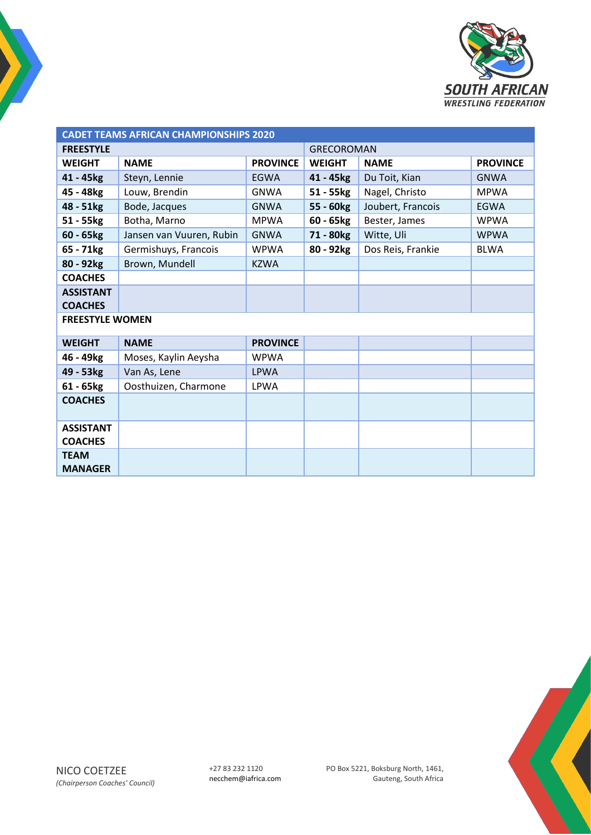

| <b>CADET TEAMS AFRICAN CHAMPIONSHIPS 2020</b> |                          |                   |               |                   |                 |  |  |
|-----------------------------------------------|--------------------------|-------------------|---------------|-------------------|-----------------|--|--|
| <b>FREESTYLE</b>                              |                          | <b>GRECOROMAN</b> |               |                   |                 |  |  |
| <b>WEIGHT</b>                                 | <b>NAME</b>              | <b>PROVINCE</b>   | <b>WEIGHT</b> | <b>NAME</b>       | <b>PROVINCE</b> |  |  |
| 41 - 45kg                                     | Steyn, Lennie            | <b>EGWA</b>       | 41 - 45kg     | Du Toit, Kian     | <b>GNWA</b>     |  |  |
| 45 - 48kg                                     | Louw, Brendin            | <b>GNWA</b>       | $51 - 55$ kg  | Nagel, Christo    | <b>MPWA</b>     |  |  |
| 48 - 51kg                                     | Bode, Jacques            | <b>GNWA</b>       | 55 - 60kg     | Joubert, Francois | <b>EGWA</b>     |  |  |
| 51 - 55kg                                     | Botha, Marno             | <b>MPWA</b>       | $60 - 65kg$   | Bester, James     | <b>WPWA</b>     |  |  |
| $60 - 65$ <sub>kg</sub>                       | Jansen van Vuuren, Rubin | <b>GNWA</b>       | 71 - 80kg     | Witte, Uli        | <b>WPWA</b>     |  |  |
| 65 - 71kg                                     | Germishuys, Francois     | <b>WPWA</b>       | 80 - 92kg     | Dos Reis, Frankie | <b>BLWA</b>     |  |  |
| 80 - 92kg                                     | Brown, Mundell           | <b>KZWA</b>       |               |                   |                 |  |  |
| <b>COACHES</b>                                |                          |                   |               |                   |                 |  |  |
| <b>ASSISTANT</b>                              |                          |                   |               |                   |                 |  |  |
| <b>COACHES</b>                                |                          |                   |               |                   |                 |  |  |
| <b>FREESTYLE WOMEN</b>                        |                          |                   |               |                   |                 |  |  |
| <b>WEIGHT</b>                                 | <b>NAME</b>              | <b>PROVINCE</b>   |               |                   |                 |  |  |
| 46 - 49kg                                     | Moses, Kaylin Aeysha     | <b>WPWA</b>       |               |                   |                 |  |  |
| 49 - 53kg                                     | Van As, Lene             | <b>LPWA</b>       |               |                   |                 |  |  |
| $61 - 65$ <sub>kg</sub>                       | Oosthuizen, Charmone     | <b>LPWA</b>       |               |                   |                 |  |  |
| <b>COACHES</b>                                |                          |                   |               |                   |                 |  |  |
| <b>ASSISTANT</b><br><b>COACHES</b>            |                          |                   |               |                   |                 |  |  |
| <b>TEAM</b><br><b>MANAGER</b>                 |                          |                   |               |                   |                 |  |  |

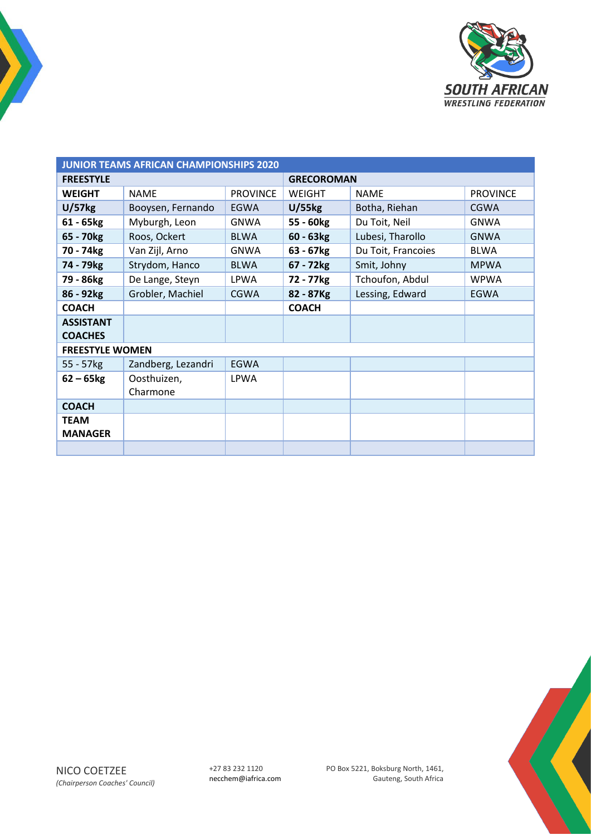

| <b>JUNIOR TEAMS AFRICAN CHAMPIONSHIPS 2020</b> |                    |                 |                       |                    |                 |  |  |
|------------------------------------------------|--------------------|-----------------|-----------------------|--------------------|-----------------|--|--|
| <b>FREESTYLE</b>                               |                    |                 | <b>GRECOROMAN</b>     |                    |                 |  |  |
| <b>WEIGHT</b>                                  | <b>NAME</b>        | <b>PROVINCE</b> | WEIGHT                | <b>NAME</b>        | <b>PROVINCE</b> |  |  |
| U/57kg                                         | Booysen, Fernando  | <b>EGWA</b>     | $U/55$ <sub>kg</sub>  | Botha, Riehan      | <b>CGWA</b>     |  |  |
| $61 - 65$ <sub>kg</sub>                        | Myburgh, Leon      | <b>GNWA</b>     | 55 - 60kg             | Du Toit, Neil      | <b>GNWA</b>     |  |  |
| 65 - 70 <sub>kg</sub>                          | Roos, Ockert       | <b>BLWA</b>     | $60 - 63kg$           | Lubesi, Tharollo   | <b>GNWA</b>     |  |  |
| 70 - 74kg                                      | Van Zijl, Arno     | <b>GNWA</b>     | 63 - 67kg             | Du Toit, Francoies | <b>BLWA</b>     |  |  |
| 74 - 79 <sub>kg</sub>                          | Strydom, Hanco     | <b>BLWA</b>     | 67 - 72 <sub>kg</sub> | Smit, Johny        | <b>MPWA</b>     |  |  |
| 79 - 86kg                                      | De Lange, Steyn    | <b>LPWA</b>     | 72 - 77 kg            | Tchoufon, Abdul    | <b>WPWA</b>     |  |  |
| 86 - 92kg                                      | Grobler, Machiel   | <b>CGWA</b>     | 82 - 87Kg             | Lessing, Edward    | EGWA            |  |  |
| <b>COACH</b>                                   |                    |                 | <b>COACH</b>          |                    |                 |  |  |
| <b>ASSISTANT</b>                               |                    |                 |                       |                    |                 |  |  |
| <b>COACHES</b>                                 |                    |                 |                       |                    |                 |  |  |
| <b>FREESTYLE WOMEN</b>                         |                    |                 |                       |                    |                 |  |  |
| 55 - 57kg                                      | Zandberg, Lezandri | <b>EGWA</b>     |                       |                    |                 |  |  |
| $62 - 65$ kg                                   | Oosthuizen,        | <b>LPWA</b>     |                       |                    |                 |  |  |
|                                                | Charmone           |                 |                       |                    |                 |  |  |
| <b>COACH</b>                                   |                    |                 |                       |                    |                 |  |  |
| <b>TEAM</b>                                    |                    |                 |                       |                    |                 |  |  |
| <b>MANAGER</b>                                 |                    |                 |                       |                    |                 |  |  |
|                                                |                    |                 |                       |                    |                 |  |  |